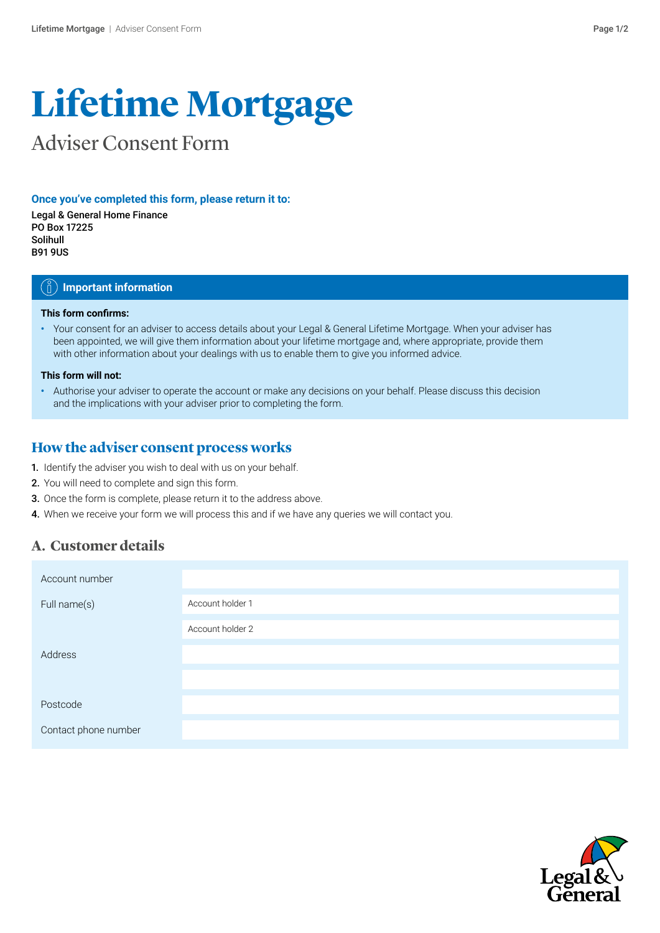# **Lifetime Mortgage**

# Adviser Consent Form

#### **Once you've completed this form, please return it to:**

Legal & General Home Finance PO Box 17225 Solihull B91 9US

#### $\hat{I}_\parallel$  ) Important information

#### **This form confirms:**

**•** Your consent for an adviser to access details about your Legal & General Lifetime Mortgage. When your adviser has been appointed, we will give them information about your lifetime mortgage and, where appropriate, provide them with other information about your dealings with us to enable them to give you informed advice.

#### **This form will not:**

**•** Authorise your adviser to operate the account or make any decisions on your behalf. Please discuss this decision and the implications with your adviser prior to completing the form.

#### **How the adviser consent process works**

- 1. Identify the adviser you wish to deal with us on your behalf.
- 2. You will need to complete and sign this form.
- 3. Once the form is complete, please return it to the address above.
- 4. When we receive your form we will process this and if we have any queries we will contact you.

### **A. Customer details**

| Account number       |                  |
|----------------------|------------------|
| Full name(s)         | Account holder 1 |
|                      | Account holder 2 |
| Address              |                  |
|                      |                  |
| Postcode             |                  |
| Contact phone number |                  |